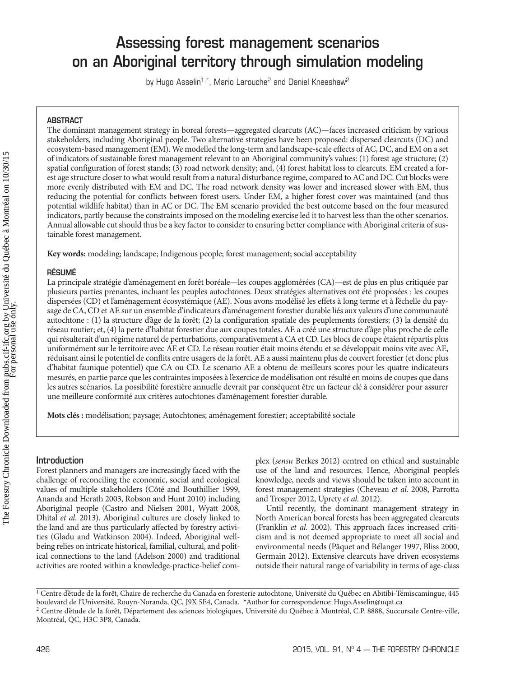# **Assessing forest management scenarios on an Aboriginal territory through simulation modeling**

by Hugo Asselin<sup>1,\*</sup>, Mario Larouche<sup>2</sup> and Daniel Kneeshaw<sup>2</sup>

# **ABSTRACT**

The dominant management strategy in boreal forests—aggregated clearcuts (AC)—faces increased criticism by various stakeholders, including Aboriginal people. Two alternative strategies have been proposed: dispersed clearcuts (DC) and ecosystem-based management (EM). We modelled the long-term and landscape-scale effects of AC, DC, and EM on a set of indicators of sustainable forest management relevant to an Aboriginal community's values: (1) forest age structure; (2) spatial configuration of forest stands; (3) road network density; and, (4) forest habitat loss to clearcuts. EM created a forest age structure closer to what would result from a natural disturbance regime, compared to AC and DC. Cut blocks were more evenly distributed with EM and DC. The road network density was lower and increased slower with EM, thus reducing the potential for conflicts between forest users. Under EM, a higher forest cover was maintained (and thus potential wildlife habitat) than in AC or DC. The EM scenario provided the best outcome based on the four measured indicators, partly because the constraints imposed on the modeling exercise led it to harvest less than the other scenarios. Annual allowable cut should thus be a key factor to consider to ensuring better compliance with Aboriginal criteria of sustainable forest management.

**Key words:** modeling; landscape; Indigenous people; forest management; social acceptability

# **RÉSUMÉ**

La principale stratégie d'aménagement en forêt boréale—les coupes agglomérées (CA)—est de plus en plus critiquée par plusieurs parties prenantes, incluant les peuples autochtones. Deux stratégies alternatives ont été proposées : les coupes dispersées (CD) et l'aménagement écosystémique (AE). Nous avons modélisé les effets à long terme et à l'échelle du paysage de CA, CD et AE sur un ensemble d'indicateurs d'aménagement forestier durable liés aux valeurs d'une communauté autochtone : (1) la structure d'âge de la forêt; (2) la configuration spatiale des peuplements forestiers; (3) la densité du réseau routier; et, (4) la perte d'habitat forestier due aux coupes totales. AE a créé une structure d'âge plus proche de celle qui résulterait d'un régime naturel de perturbations, comparativement à CA et CD. Les blocs de coupe étaient répartis plus uniformément sur le territoire avec AE et CD. Le réseau routier était moins étendu et se développait moins vite avec AE, réduisant ainsi le potentiel de conflits entre usagers de la forêt. AE a aussi maintenu plus de couvert forestier (et donc plus d'habitat faunique potentiel) que CA ou CD. Le scenario AE a obtenu de meilleurs scores pour les quatre indicateurs mesurés, en partie parce que les contraintes imposées à l'exercice de modélisation ont résulté en moins de coupes que dans les autres scénarios. La possibilité forestière annuelle devrait par conséquent être un facteur clé à considérer pour assurer une meilleure conformité aux critères autochtones d'aménagement forestier durable.

**Mots clés :** modélisation; paysage; Autochtones; aménagement forestier; acceptabilité sociale

# **Introduction**

Forest planners and managers are increasingly faced with the challenge of reconciling the economic, social and ecological values of multiple stakeholders (Côté and Bouthillier 1999, Ananda and Herath 2003, Robson and Hunt 2010) including Aboriginal people (Castro and Nielsen 2001, Wyatt 2008, Dhital *et al*. 2013). Aboriginal cultures are closely linked to the land and are thus particularly affected by forestry activities (Gladu and Watkinson 2004). Indeed, Aboriginal wellbeing relies on intricate historical, familial, cultural, and political connections to the land (Adelson 2000) and traditional activities are rooted within a knowledge-practice-belief complex (*sensu* Berkes 2012) centred on ethical and sustainable use of the land and resources. Hence, Aboriginal people's knowledge, needs and views should be taken into account in forest management strategies (Cheveau *et al*. 2008, Parrotta and Trosper 2012, Uprety *et al*. 2012).

Until recently, the dominant management strategy in North American boreal forests has been aggregated clearcuts (Franklin *et al*. 2002). This approach faces increased criticism and is not deemed appropriate to meet all social and environmental needs (Pâquet and Bélanger 1997, Bliss 2000, Germain 2012). Extensive clearcuts have driven ecosystems outside their natural range of variability in terms of age-class

<sup>1</sup> Centre d'étude de la forêt, Chaire de recherche du Canada en foresterie autochtone, Université du Québec en Abitibi-Témiscamingue, 445 boulevard de l'Université, Rouyn-Noranda, QC, J9X 5E4, Canada. \*Author for correspondence: Hugo.Asselin@uqat.ca<br><sup>2</sup> Centre d'étude de la forêt, Département des sciences biologiques, Université du Québec à Montréal, C.P. 88 Montréal, QC, H3C 3P8, Canada.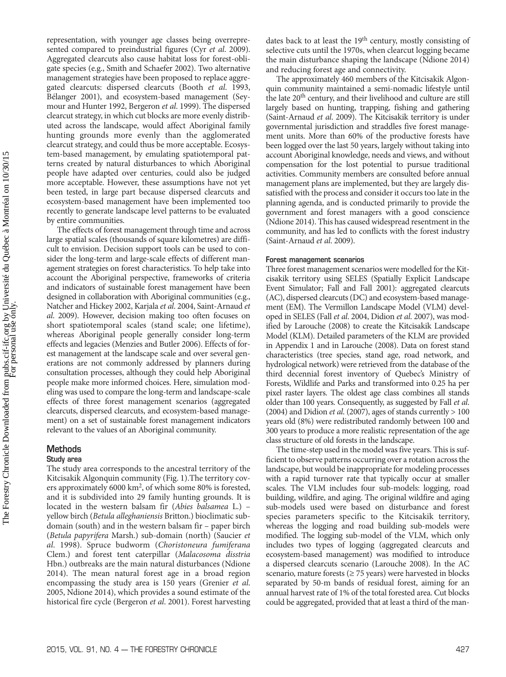representation, with younger age classes being overrepresented compared to preindustrial figures (Cyr *et al*. 2009). Aggregated clearcuts also cause habitat loss for forest-obligate species (e.g., Smith and Schaefer 2002). Two alternative management strategies have been proposed to replace aggregated clearcuts: dispersed clearcuts (Booth *et al*. 1993, Bélanger 2001), and ecosystem-based management (Seymour and Hunter 1992, Bergeron *et al*. 1999). The dispersed clearcut strategy, in which cut blocks are more evenly distributed across the landscape, would affect Aboriginal family hunting grounds more evenly than the agglomerated clearcut strategy, and could thus be more acceptable. Ecosystem-based management, by emulating spatiotemporal patterns created by natural disturbances to which Aboriginal people have adapted over centuries, could also be judged more acceptable. However, these assumptions have not yet been tested, in large part because dispersed clearcuts and ecosystem-based management have been implemented too recently to generate landscape level patterns to be evaluated by entire communities.

The effects of forest management through time and across large spatial scales (thousands of square kilometres) are difficult to envision. Decision support tools can be used to consider the long-term and large-scale effects of different management strategies on forest characteristics. To help take into account the Aboriginal perspective, frameworks of criteria and indicators of sustainable forest management have been designed in collaboration with Aboriginal communities (e.g., Natcher and Hickey 2002, Karjala *et al*. 2004, Saint-Arnaud *et al*. 2009). However, decision making too often focuses on short spatiotemporal scales (stand scale; one lifetime), whereas Aboriginal people generally consider long-term effects and legacies (Menzies and Butler 2006). Effects of forest management at the landscape scale and over several generations are not commonly addressed by planners during consultation processes, although they could help Aboriginal people make more informed choices. Here, simulation modeling was used to compare the long-term and landscape-scale effects of three forest management scenarios (aggregated clearcuts, dispersed clearcuts, and ecosystem-based management) on a set of sustainable forest management indicators relevant to the values of an Aboriginal community.

# **Methods**

#### **Study area**

The study area corresponds to the ancestral territory of the Kitcisakik Algonquin community (Fig. 1).The territory covers approximately 6000 km2, of which some 80% is forested, and it is subdivided into 29 family hunting grounds. It is located in the western balsam fir (*Abies balsamea* L.) – yellow birch (*Betula alleghaniensis* Britton.) bioclimatic subdomain (south) and in the western balsam fir – paper birch (*Betula papyrifera* Marsh.) sub-domain (north) (Saucier *et al*. 1998). Spruce budworm (*Choristoneura fumiferana* Clem.) and forest tent caterpillar (*Malacosoma disstria* Hbn.) outbreaks are the main natural disturbances (Ndione 2014). The mean natural forest age in a broad region encompassing the study area is 150 years (Grenier *et al*. 2005, Ndione 2014), which provides a sound estimate of the historical fire cycle (Bergeron *et al*. 2001). Forest harvesting

dates back to at least the  $19<sup>th</sup>$  century, mostly consisting of selective cuts until the 1970s, when clearcut logging became the main disturbance shaping the landscape (Ndione 2014) and reducing forest age and connectivity.

The approximately 460 members of the Kitcisakik Algonquin community maintained a semi-nomadic lifestyle until the late 20<sup>th</sup> century, and their livelihood and culture are still largely based on hunting, trapping, fishing and gathering (Saint-Arnaud *et al*. 2009). The Kitcisakik territory is under governmental jurisdiction and straddles five forest management units. More than 60% of the productive forests have been logged over the last 50 years, largely without taking into account Aboriginal knowledge, needs and views, and without compensation for the lost potential to pursue traditional activities. Community members are consulted before annual management plans are implemented, but they are largely dissatisfied with the process and consider it occurs too late in the planning agenda, and is conducted primarily to provide the government and forest managers with a good conscience (Ndione 2014). This has caused widespread resentment in the community, and has led to conflicts with the forest industry (Saint-Arnaud *et al*. 2009).

#### **Forest management scenarios**

Three forest management scenarios were modelled for the Kitcisakik territory using SELES (Spatially Explicit Landscape Event Simulator; Fall and Fall 2001): aggregated clearcuts (AC), dispersed clearcuts(DC) and ecosystem-based management (EM). The Vermillon Landscape Model (VLM) developed in SELES (Fall *et al*. 2004, Didion *et al*. 2007), was modified by Larouche (2008) to create the Kitcisakik Landscape Model (KLM). Detailed parameters of the KLM are provided in Appendix 1 and in Larouche (2008). Data on forest stand characteristics (tree species, stand age, road network, and hydrological network) were retrieved from the database of the third decennial forest inventory of Quebec's Ministry of Forests, Wildlife and Parks and transformed into 0.25 ha per pixel raster layers. The oldest age class combines all stands older than 100 years. Consequently, as suggested by Fall *et al*. (2004) and Didion *et al*. (2007), ages of stands currently > 100 years old (8%) were redistributed randomly between 100 and 300 years to produce a more realistic representation of the age class structure of old forests in the landscape.

The time-step used in the model was five years. This is sufficient to observe patterns occurring over a rotation across the landscape, but would be inappropriate for modeling processes with a rapid turnover rate that typically occur at smaller scales. The VLM includes four sub-models: logging, road building, wildfire, and aging. The original wildfire and aging sub-models used were based on disturbance and forest species parameters specific to the Kitcisakik territory, whereas the logging and road building sub-models were modified. The logging sub-model of the VLM, which only includes two types of logging (aggregated clearcuts and ecosystem-based management) was modified to introduce a dispersed clearcuts scenario (Larouche 2008). In the AC scenario, mature forests ( $\geq$  75 years) were harvested in blocks separated by 50-m bands of residual forest, aiming for an annual harvest rate of 1% of the total forested area. Cut blocks could be aggregated, provided that at least a third of the man-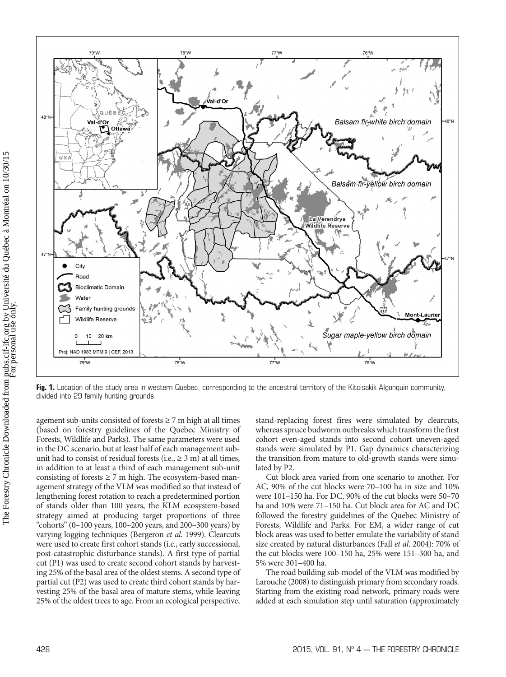



78°W

25% of the oldest trees to age. From an ecological perspective,

stand-replacing forest fires were simulated by clearcuts, whereas spruce budworm outbreaks which transform the first cohort even-aged stands into second cohort uneven-aged stands were simulated by P1. Gap dynamics characterizing the transition from mature to old-growth stands were simulated by P2.

76°W

Balsam fir-white birch domain

Balsam fir-yellow birch domain

Sugar maple-yellow birch domain

 $\frac{1}{76}$ 

**La Vérendrye** Wildlife Reserve 條

48°N

Mont-Laurier

77°W

 $77^{\circ}$ W

≀Vื้al-d'Or

Cut block area varied from one scenario to another. For AC, 90% of the cut blocks were 70–100 ha in size and 10% were 101–150 ha. For DC, 90% of the cut blocks were 50–70 ha and 10% were 71–150 ha. Cut block area for AC and DC followed the forestry guidelines of the Quebec Ministry of Forests, Wildlife and Parks. For EM, a wider range of cut block areas was used to better emulate the variability of stand size created by natural disturbances (Fall *et al*. 2004): 70% of the cut blocks were 100–150 ha, 25% were 151–300 ha, and 5% were 301–400 ha.

The road building sub-model of the VLM was modified by Larouche (2008) to distinguish primary from secondary roads. Starting from the existing road network, primary roads were added at each simulation step until saturation (approximately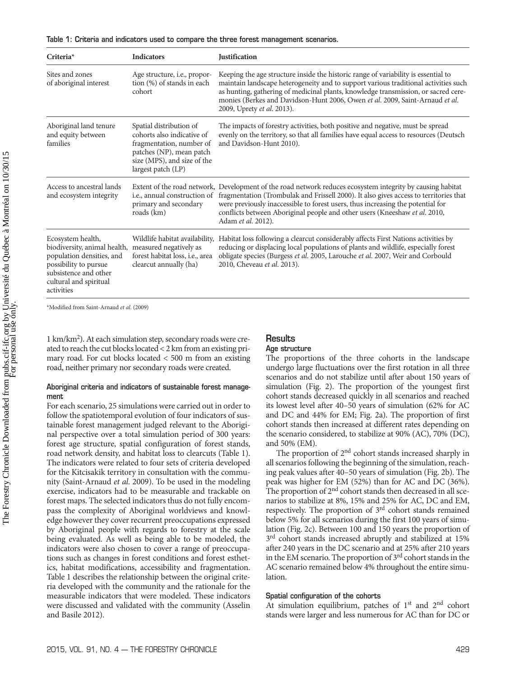|  | Table 1: Criteria and indicators used to compare the three forest management scenarios. |  |  |  |
|--|-----------------------------------------------------------------------------------------|--|--|--|
|  |                                                                                         |  |  |  |

| Criteria*                                                                                                                                                                | <b>Indicators</b>                                                                                                                                                  | <b>Justification</b>                                                                                                                                                                                                                                                                                                                                                                       |
|--------------------------------------------------------------------------------------------------------------------------------------------------------------------------|--------------------------------------------------------------------------------------------------------------------------------------------------------------------|--------------------------------------------------------------------------------------------------------------------------------------------------------------------------------------------------------------------------------------------------------------------------------------------------------------------------------------------------------------------------------------------|
| Sites and zones<br>of aboriginal interest                                                                                                                                | Age structure, <i>i.e.</i> , propor-<br>tion (%) of stands in each<br>cohort                                                                                       | Keeping the age structure inside the historic range of variability is essential to<br>maintain landscape heterogeneity and to support various traditional activities such<br>as hunting, gathering of medicinal plants, knowledge transmission, or sacred cere-<br>monies (Berkes and Davidson-Hunt 2006, Owen et al. 2009, Saint-Arnaud et al.<br>2009, Uprety et al. 2013).              |
| Aboriginal land tenure<br>and equity between<br>families                                                                                                                 | Spatial distribution of<br>cohorts also indicative of<br>fragmentation, number of<br>patches (NP), mean patch<br>size (MPS), and size of the<br>largest patch (LP) | The impacts of forestry activities, both positive and negative, must be spread<br>evenly on the territory, so that all families have equal access to resources (Deutsch<br>and Davidson-Hunt 2010).                                                                                                                                                                                        |
| Access to ancestral lands<br>and ecosystem integrity                                                                                                                     | i.e., annual construction of<br>primary and secondary<br>roads (km)                                                                                                | Extent of the road network, Development of the road network reduces ecosystem integrity by causing habitat<br>fragmentation (Trombulak and Frissell 2000). It also gives access to territories that<br>were previously inaccessible to forest users, thus increasing the potential for<br>conflicts between Aboriginal people and other users (Kneeshaw et al. 2010,<br>Adam et al. 2012). |
| Ecosystem health,<br>biodiversity, animal health,<br>population densities, and<br>possibility to pursue<br>subsistence and other<br>cultural and spiritual<br>activities | Wildlife habitat availability,<br>measured negatively as<br>forest habitat loss, i.e., area<br>clearcut annually (ha)                                              | Habitat loss following a clearcut considerably affects First Nations activities by<br>reducing or displacing local populations of plants and wildlife, especially forest<br>obligate species (Burgess et al. 2005, Larouche et al. 2007, Weir and Corbould<br>2010, Cheveau et al. 2013).                                                                                                  |

\*Modified from Saint-Arnaud *et al*. (2009)

1 km/km<sup>2</sup>). At each simulation step, secondary roads were created to reach the cut blocks located  $<$  2 km from an existing primary road. For cut blocks located < 500 m from an existing road, neither primary nor secondary roads were created.

#### **Aboriginal criteria and indicators of sustainable forest management**

For each scenario, 25 simulations were carried out in order to follow the spatiotemporal evolution of four indicators of sustainable forest management judged relevant to the Aboriginal perspective over a total simulation period of 300 years: forest age structure, spatial configuration of forest stands, road network density, and habitat loss to clearcuts (Table 1). The indicators were related to four sets of criteria developed for the Kitcisakik territory in consultation with the community (Saint-Arnaud *et al*. 2009). To be used in the modeling exercise, indicators had to be measurable and trackable on forest maps. The selected indicators thus do not fully encompass the complexity of Aboriginal worldviews and knowledge however they cover recurrent preoccupations expressed by Aboriginal people with regards to forestry at the scale being evaluated. As well as being able to be modeled, the indicators were also chosen to cover a range of preoccupations such as changes in forest conditions and forest esthetics, habitat modifications, accessibility and fragmentation. Table 1 describes the relationship between the original criteria developed with the community and the rationale for the measurable indicators that were modeled. These indicators were discussed and validated with the community (Asselin and Basile 2012).

# **Results**

#### **Age structure**

The proportions of the three cohorts in the landscape undergo large fluctuations over the first rotation in all three scenarios and do not stabilize until after about 150 years of simulation (Fig. 2). The proportion of the youngest first cohort stands decreased quickly in all scenarios and reached its lowest level after 40–50 years of simulation (62% for AC and DC and 44% for EM; Fig. 2a). The proportion of first cohort stands then increased at different rates depending on the scenario considered, to stabilize at 90% (AC), 70% (DC), and 50% (EM).

The proportion of 2<sup>nd</sup> cohort stands increased sharply in all scenarios following the beginning of the simulation, reaching peak values after 40–50 years of simulation (Fig. 2b). The peak was higher for EM (52%) than for AC and DC (36%). The proportion of 2<sup>nd</sup> cohort stands then decreased in all scenarios to stabilize at 8%, 15% and 25% for AC, DC and EM, respectively. The proportion of 3rd cohort stands remained below 5% for all scenarios during the first 100 years of simulation (Fig. 2c). Between 100 and 150 years the proportion of 3<sup>rd</sup> cohort stands increased abruptly and stabilized at 15% after 240 years in the DC scenario and at 25% after 210 years in the EM scenario. The proportion of  $3<sup>rd</sup>$  cohort stands in the AC scenario remained below 4% throughout the entire simulation.

#### **Spatial configuration of the cohorts**

At simulation equilibrium, patches of 1<sup>st</sup> and 2<sup>nd</sup> cohort stands were larger and less numerous for AC than for DC or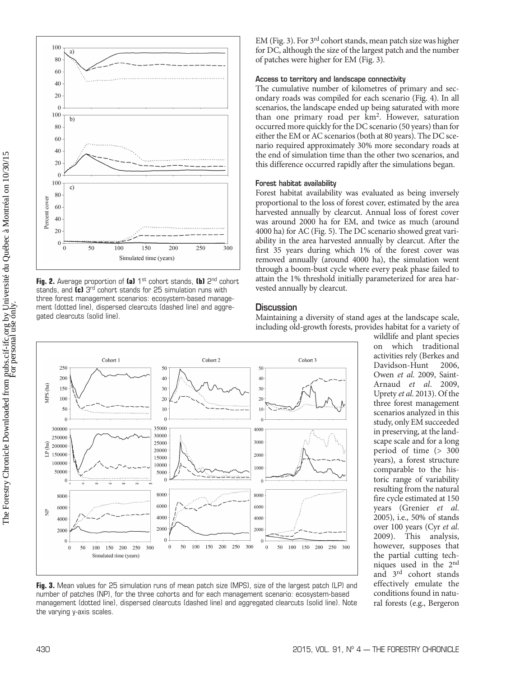

**Fig. 2.** Average proportion of (a) 1<sup>st</sup> cohort stands, (b) 2<sup>nd</sup> cohort stands, and **(c)** 3rd cohort stands for 25 simulation runs with three forest management scenarios: ecosystem-based management (dotted line), dispersed clearcuts (dashed line) and aggregated clearcuts (solid line).

EM (Fig. 3). For  $3<sup>rd</sup>$  cohort stands, mean patch size was higher for DC, although the size of the largest patch and the number of patches were higher for EM (Fig. 3).

#### **Access to territory and landscape connectivity**

The cumulative number of kilometres of primary and secondary roads was compiled for each scenario (Fig. 4). In all scenarios, the landscape ended up being saturated with more than one primary road per km<sup>2</sup>. However, saturation occurred more quickly for the DC scenario (50 years) than for either the EM or AC scenarios (both at 80 years). The DC scenario required approximately 30% more secondary roads at the end of simulation time than the other two scenarios, and this difference occurred rapidly after the simulations began.

#### **Forest habitat availability**

Forest habitat availability was evaluated as being inversely proportional to the loss of forest cover, estimated by the area harvested annually by clearcut. Annual loss of forest cover was around 2000 ha for EM, and twice as much (around 4000 ha) for AC (Fig. 5). The DC scenario showed great variability in the area harvested annually by clearcut. After the first 35 years during which 1% of the forest cover was removed annually (around 4000 ha), the simulation went through a boom-bust cycle where every peak phase failed to attain the 1% threshold initially parameterized for area harvested annually by clearcut.

# **Discussion**

Maintaining a diversity of stand ages at the landscape scale, including old-growth forests, provides habitat for a variety of



wildlife and plant species on which traditional activities rely (Berkes and Davidson-Hunt 2006, Owen *et al*. 2009, Saint-Arnaud *et al*. 2009, Uprety *et al*. 2013). Of the three forest management scenarios analyzed in this study, only EM succeeded in preserving, at the landscape scale and for a long period of time (> 300 years), a forest structure comparable to the historic range of variability resulting from the natural fire cycle estimated at 150 years (Grenier *et al*. 2005), i.e., 50% of stands over 100 years (Cyr *et al*. This analysis, however, supposes that the partial cutting techniques used in the 2nd and 3rd cohort stands effectively emulate the conditions found in natural forests (e.g., Bergeron

**Fig. 3.** Mean values for 25 simulation runs of mean patch size (MPS), size of the largest patch (LP) and number of patches (NP), for the three cohorts and for each management scenario: ecosystem-based management (dotted line), dispersed clearcuts (dashed line) and aggregated clearcuts (solid line). Note the varying y-axis scales.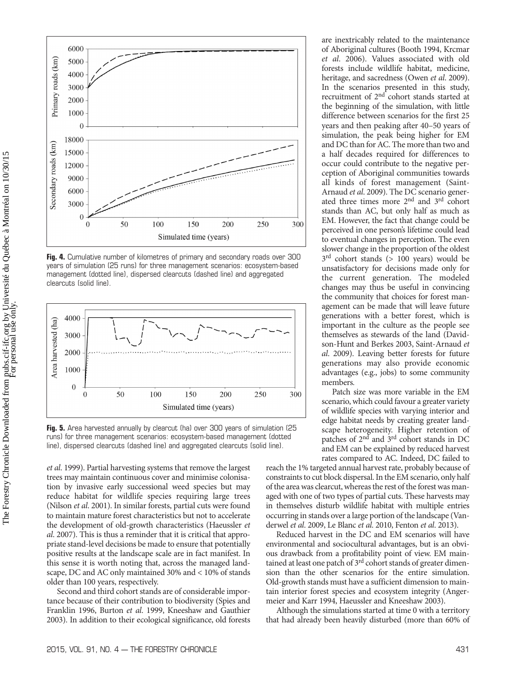

**Fig. 4.** Cumulative number of kilometres of primary and secondary roads over 300 years of simulation (25 runs) for three management scenarios: ecosystem-based management (dotted line), dispersed clearcuts (dashed line) and aggregated clearcuts (solid line).



**Fig. 5.** Area harvested annually by clearcut (ha) over 300 years of simulation (25 runs) for three management scenarios: ecosystem-based management (dotted line), dispersed clearcuts (dashed line) and aggregated clearcuts (solid line).

*et al*. 1999). Partial harvesting systems that remove the largest trees may maintain continuous cover and minimise colonisation by invasive early successional weed species but may reduce habitat for wildlife species requiring large trees (Nilson *et al*. 2001). In similar forests, partial cuts were found to maintain mature forest characteristics but not to accelerate the development of old-growth characteristics (Haeussler *et al*. 2007). This is thus a reminder that it is critical that appropriate stand-level decisions be made to ensure that potentially positive results at the landscape scale are in fact manifest. In this sense it is worth noting that, across the managed landscape, DC and AC only maintained 30% and < 10% of stands older than 100 years, respectively.

Second and third cohort stands are of considerable importance because of their contribution to biodiversity (Spies and Franklin 1996, Burton *et al*. 1999, Kneeshaw and Gauthier 2003). In addition to their ecological significance, old forests are inextricably related to the maintenance of Aboriginal cultures (Booth 1994, Krcmar *et al*. 2006). Values associated with old forests include wildlife habitat, medicine, heritage, and sacredness (Owen *et al*. 2009). In the scenarios presented in this study, recruitment of 2<sup>nd</sup> cohort stands started at the beginning of the simulation, with little difference between scenarios for the first 25 years and then peaking after 40–50 years of simulation, the peak being higher for EM and DC than for AC. The more than two and a half decades required for differences to occur could contribute to the negative perception of Aboriginal communities towards all kinds of forest management (Saint-Arnaud *et al*. 2009). The DC scenario generated three times more 2nd and 3rd cohort stands than AC, but only half as much as EM. However, the fact that change could be perceived in one person's lifetime could lead to eventual changes in perception. The even slower change in the proportion of the oldest  $3<sup>rd</sup>$  cohort stands (> 100 years) would be unsatisfactory for decisions made only for the current generation. The modeled changes may thus be useful in convincing the community that choices for forest management can be made that will leave future generations with a better forest, which is important in the culture as the people see themselves as stewards of the land (Davidson-Hunt and Berkes 2003, Saint-Arnaud *et al*. 2009). Leaving better forests for future generations may also provide economic advantages (e.g., jobs) to some community members*.*

Patch size was more variable in the EM scenario, which could favour a greater variety of wildlife species with varying interior and edge habitat needs by creating greater landscape heterogeneity. Higher retention of patches of 2<sup>nd</sup> and 3<sup>rd</sup> cohort stands in DC and EM can be explained by reduced harvest rates compared to AC. Indeed, DC failed to

reach the 1% targeted annual harvest rate, probably because of constraints to cut block dispersal. In the EM scenario, only half of the area was clearcut, whereas the rest of the forest was managed with one of two types of partial cuts. These harvests may in themselves disturb wildlife habitat with multiple entries occurring in stands over a large portion of the landscape (Vanderwel *et al*. 2009, Le Blanc *et al*. 2010, Fenton *et al*. 2013).

Reduced harvest in the DC and EM scenarios will have environmental and sociocultural advantages, but is an obvious drawback from a profitability point of view. EM maintained at least one patch of  $3<sup>rd</sup>$  cohort stands of greater dimension than the other scenarios for the entire simulation. Old-growth stands must have a sufficient dimension to maintain interior forest species and ecosystem integrity (Angermeier and Karr 1994, Haeussler and Kneeshaw 2003).

Although the simulations started at time 0 with a territory that had already been heavily disturbed (more than 60% of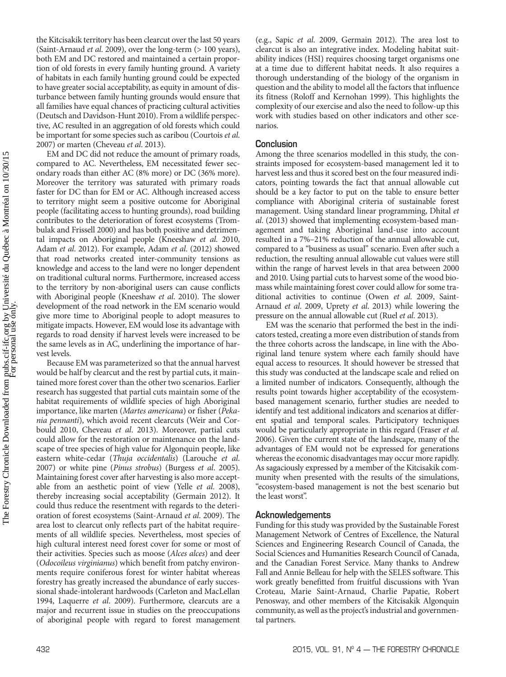the Kitcisakik territory has been clearcut over the last 50 years (Saint-Arnaud *et al*. 2009), over the long-term (> 100 years), both EM and DC restored and maintained a certain proportion of old forests in every family hunting ground. A variety of habitats in each family hunting ground could be expected to have greater social acceptability, as equity in amount of disturbance between family hunting grounds would ensure that all families have equal chances of practicing cultural activities (Deutsch and Davidson-Hunt 2010). From a wildlife perspective, AC resulted in an aggregation of old forests which could be important for some species such as caribou (Courtois *et al*. 2007) or marten (Cheveau *et al*. 2013).

EM and DC did not reduce the amount of primary roads, compared to AC. Nevertheless, EM necessitated fewer secondary roads than either AC (8% more) or DC (36% more). Moreover the territory was saturated with primary roads faster for DC than for EM or AC. Although increased access to territory might seem a positive outcome for Aboriginal people (facilitating access to hunting grounds), road building contributes to the deterioration of forest ecosystems (Trombulak and Frissell 2000) and has both positive and detrimental impacts on Aboriginal people (Kneeshaw *et al*. 2010, Adam *et al*. 2012). For example, Adam *et al*. (2012) showed that road networks created inter-community tensions as knowledge and access to the land were no longer dependent on traditional cultural norms. Furthermore, increased access to the territory by non-aboriginal users can cause conflicts with Aboriginal people (Kneeshaw *et al*. 2010). The slower development of the road network in the EM scenario would give more time to Aboriginal people to adopt measures to mitigate impacts. However, EM would lose its advantage with regards to road density if harvest levels were increased to be the same levels as in AC, underlining the importance of harvest levels.

Because EM was parameterized so that the annual harvest would be half by clearcut and the rest by partial cuts, it maintained more forest cover than the other two scenarios. Earlier research has suggested that partial cuts maintain some of the habitat requirements of wildlife species of high Aboriginal importance, like marten (*Martes americana*) or fisher (*Pekania pennanti*), which avoid recent clearcuts (Weir and Corbould 2010, Cheveau *et al*. 2013). Moreover, partial cuts could allow for the restoration or maintenance on the landscape of tree species of high value for Algonquin people, like eastern white-cedar (*Thuja occidentalis*) (Larouche *et al*. 2007) or white pine (*Pinus strobus*) (Burgess *et al*. 2005). Maintaining forest cover after harvesting is also more acceptable from an aesthetic point of view (Yelle *et al*. 2008), thereby increasing social acceptability (Germain 2012). It could thus reduce the resentment with regards to the deterioration of forest ecosystems (Saint-Arnaud *et al*. 2009). The area lost to clearcut only reflects part of the habitat requirements of all wildlife species. Nevertheless, most species of high cultural interest need forest cover for some or most of their activities. Species such as moose (*Alces alces*) and deer (*Odocoileus virginianus*) which benefit from patchy environments require coniferous forest for winter habitat whereas forestry has greatly increased the abundance of early successional shade-intolerant hardwoods (Carleton and MacLellan 1994, Laquerre *et al*. 2009). Furthermore, clearcuts are a major and recurrent issue in studies on the preoccupations of aboriginal people with regard to forest management (e.g., Sapic *et al*. 2009, Germain 2012). The area lost to clearcut is also an integrative index. Modeling habitat suitability indices (HSI) requires choosing target organisms one at a time due to different habitat needs. It also requires a thorough understanding of the biology of the organism in question and the ability to model all the factors that influence its fitness (Roloff and Kernohan 1999). This highlights the complexity of our exercise and also the need to follow-up this work with studies based on other indicators and other scenarios.

### **Conclusion**

Among the three scenarios modelled in this study, the constraints imposed for ecosystem-based management led it to harvest less and thus it scored best on the four measured indicators, pointing towards the fact that annual allowable cut should be a key factor to put on the table to ensure better compliance with Aboriginal criteria of sustainable forest management. Using standard linear programming, Dhital *et al*. (2013) showed that implementing ecosystem-based management and taking Aboriginal land-use into account resulted in a 7%–21% reduction of the annual allowable cut, compared to a "business as usual" scenario. Even after such a reduction, the resulting annual allowable cut values were still within the range of harvest levels in that area between 2000 and 2010. Using partial cuts to harvest some of the wood biomass while maintaining forest cover could allow forsome traditional activities to continue (Owen *et al*. 2009, Saint-Arnaud *et al*. 2009, Uprety *et al*. 2013) while lowering the pressure on the annual allowable cut (Ruel *et al*. 2013).

EM was the scenario that performed the best in the indicators tested, creating a more even distribution of stands from the three cohorts across the landscape, in line with the Aboriginal land tenure system where each family should have equal access to resources. It should however be stressed that this study was conducted at the landscape scale and relied on a limited number of indicators. Consequently, although the results point towards higher acceptability of the ecosystembased management scenario, further studies are needed to identify and test additional indicators and scenarios at different spatial and temporal scales. Participatory techniques would be particularly appropriate in this regard (Fraser *et al*. 2006). Given the current state of the landscape, many of the advantages of EM would not be expressed for generations whereas the economic disadvantages may occur more rapidly. As sagaciously expressed by a member of the Kitcisakik community when presented with the results of the simulations, "ecosystem-based management is not the best scenario but the least worst".

# **Acknowledgements**

Funding for this study was provided by the Sustainable Forest Management Network of Centres of Excellence, the Natural Sciences and Engineering Research Council of Canada, the Social Sciences and Humanities Research Council of Canada, and the Canadian Forest Service. Many thanks to Andrew Fall and Annie Belleau for help with the SELES software. This work greatly benefitted from fruitful discussions with Yvan Croteau, Marie Saint-Arnaud, Charlie Papatie, Robert Penosway, and other members of the Kitcisakik Algonquin community, as well as the project's industrial and governmental partners.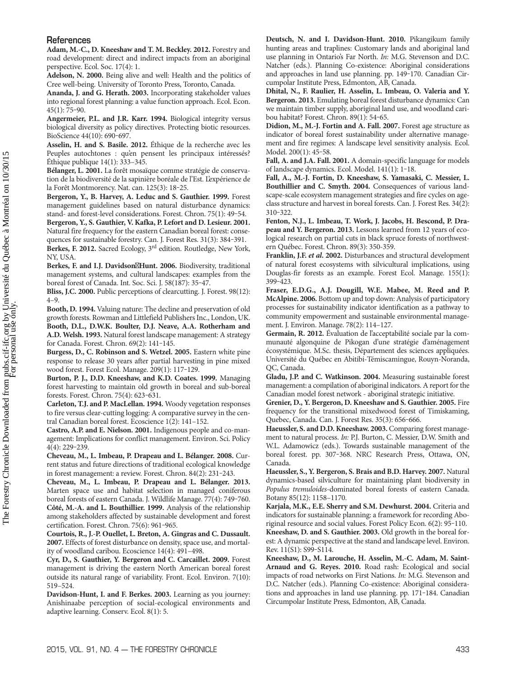#### **References**

**Adam, M.-C., D. Kneeshaw and T. M. Beckley. 2012.** Forestry and road development: direct and indirect impacts from an aboriginal perspective. Ecol. Soc. 17(4): 1.

**Adelson, N. 2000.** Being alive and well: Health and the politics of Cree well-being. University of Toronto Press, Toronto, Canada.

**Ananda, J. and G. Herath. 2003.** Incorporating stakeholder values into regional forest planning: a value function approach. Ecol. Econ.  $45(1)$ : 75–90.

**Angermeier, P.L. and J.R. Karr. 1994.** Biological integrity versus biological diversity as policy directives. Protecting biotic resources. BioScience 44(10): 690-697.

**Asselin, H. and S. Basile. 2012.** Éthique de la recherche avec les Peuples autochtones : qu'en pensent les principaux intéressés? Éthique publique 14(1): 333–345.

**Bélanger, L. 2001.** La forêt mosaïque comme stratégie de conservation de la biodiversité de la sapinière boréale de l'Est. L'expérience de la Forêt Montmorency. Nat. can. 125(3): 18‒25.

**Bergeron, Y., B. Harvey, A. Leduc and S. Gauthier. 1999.** Forest management guidelines based on natural disturbance dynamics: stand- and forest-level considerations. Forest. Chron. 75(1): 49-54.

**Bergeron, Y., S. Gauthier, V. Kafka, P. Lefort and D. Lesieur. 2001.** Natural fire frequency for the eastern Canadian boreal forest: conse-

quences for sustainable forestry. Can. J. Forest Res. 31(3): 384-391. **Berkes, F. 2012.** Sacred Ecology, 3rd edition. Routledge, New York, NY, USA.

Berkes, F. and I.J. Davidson<sup>*A*Hunt. 2006. Biodiversity, traditional</sup> management systems, and cultural landscapes: examples from the boreal forest of Canada. Int. Soc. Sci. J. 58(187): 35-47.

**Bliss, J.C. 2000.** Public perceptions of clearcutting. J. Forest. 98(12): 4–9.

**Booth, D. 1994.** Valuing nature: The decline and preservation of old growth forests. Rowman and Littlefield PublishersInc., London, UK. **Booth, D.L., D.W.K. Boulter, D.J. Neave, A.A. Rotherham and A.D. Welsh. 1993.** Natural forest landscape management: A strategy for Canada. Forest. Chron. 69(2): 141‒145.

**Burgess, D., C. Robinson and S. Wetzel. 2005.** Eastern white pine response to release 30 years after partial harvesting in pine mixed wood forest. Forest Ecol. Manage. 209(1): 117‒129.

**Burton, P. J., D.D. Kneeshaw, and K.D. Coates. 1999.** Managing forest harvesting to maintain old growth in boreal and sub-boreal forests. Forest. Chron. 75(4): 623-631.

**Carleton, T.J. and P. MacLellan. 1994.** Woody vegetation responses to fire versus clear-cutting logging: A comparative survey in the central Canadian boreal forest. Ecoscience 1(2): 141–152.

**Castro, A.P. and E. Nielson. 2001.** Indigenous people and co-management: Implications for conflict management. Environ. Sci. Policy  $4(4)$ : 229-239.

**Cheveau, M., L. Imbeau, P. Drapeau and L. Bélanger. 2008.** Current status and future directions of traditional ecological knowledge in forest management: a review. Forest. Chron. 84(2): 231-243.

**Cheveau, M., L. Imbeau, P. Drapeau and L. Bélanger. 2013.** Marten space use and habitat selection in managed coniferous boreal forests of eastern Canada. J. Wildlife Manage. 77(4): 749-760. **Côté, M.-A. and L. Bouthillier. 1999.** Analysis of the relationship among stakeholders affected by sustainable development and forest certification. Forest. Chron. 75(6): 961-965.

**Courtois, R., J.-P. Ouellet, L. Breton, A. Gingras and C. Dussault. 2007.** Effects of forest disturbance on density, space use, and mortality of woodland caribou. Ecoscience 14(4): 491–498.

**Cyr, D., S. Gauthier, Y. Bergeron and C. Carcaillet. 2009.** Forest management is driving the eastern North American boreal forest outside its natural range of variability. Front. Ecol. Environ. 7(10): 519–524.

**Davidson-Hunt, I. and F. Berkes. 2003.** Learning as you journey: Anishinaabe perception of social-ecological environments and adaptive learning. Conserv. Ecol. 8(1): 5.

**Deutsch, N. and I. Davidson-Hunt. 2010.** Pikangikum family hunting areas and traplines: Customary lands and aboriginal land use planning in Ontario's Far North. *In:* M.G. Stevenson and D.C. Natcher (eds.). Planning Co-existence: Aboriginal considerations and approaches in land use planning. pp. 149-170. Canadian Circumpolar Institute Press, Edmonton, AB, Canada.

**Dhital, N., F. Raulier, H. Asselin, L. Imbeau, O. Valeria and Y. Bergeron. 2013.** Emulating boreal forest disturbance dynamics: Can we maintain timber supply, aboriginal land use, and woodland caribou habitat? Forest. Chron. 89(1): 54-65.

**Didion, M., M.-J. Fortin and A. Fall. 2007.** Forest age structure as indicator of boreal forest sustainability under alternative management and fire regimes: A landscape level sensitivity analysis. Ecol. Model. 200(1): 45-58.

**Fall, A. and J.A. Fall. 2001.** A domain-specific language for models of landscape dynamics. Ecol. Model. 141(1): 1‒18.

**Fall, A., M.-J. Fortin, D. Kneeshaw, S. Yamasaki, C. Messier, L. Bouthillier and C. Smyth. 2004.** Consequences of various landscape-scale ecosystem management strategies and fire cycles on ageclass structure and harvest in boreal forests. Can. J. Forest Res. 34(2): 310‒322.

**Fenton, N.J., L. Imbeau, T. Work, J. Jacobs, H. Bescond, P. Drapeau and Y. Bergeron. 2013.** Lessons learned from 12 years of ecological research on partial cuts in black spruce forests of northwestern Québec. Forest. Chron. 89(3): 350-359.

**Franklin, J.F.** *et al***. 2002.** Disturbances and structural development of natural forest ecosystems with silvicultural implications, using Douglas-fir forests as an example. Forest Ecol. Manage. 155(1): 399‒423.

**Fraser, E.D.G., A.J. Dougill, W.E. Mabee, M. Reed and P. McAlpine. 2006.** Bottom up and top down: Analysis of participatory processes for sustainability indicator identification as a pathway to community empowerment and sustainable environmental management. J. Environ. Manage. 78(2): 114–127.

**Germain, R. 2012.** Évaluation de l'acceptabilité sociale par la communauté algonquine de Pikogan d'une stratégie d'aménagement écosystémique. M.Sc. thesis, Département des sciences appliquées. Université du Québec en Abitibi-Témiscamingue, Rouyn-Noranda, QC, Canada.

**Gladu, J.P. and C. Watkinson. 2004.** Measuring sustainable forest management: a compilation of aboriginal indicators. A report for the Canadian model forest network - aboriginal strategic initiative.

**Grenier, D., Y. Bergeron, D. Kneeshaw and S. Gauthier. 2005.** Fire frequency for the transitional mixedwood forest of Timiskaming, Quebec, Canada. Can. J. Forest Res. 35(3): 656-666.

**Haeussler, S. and D.D. Kneeshaw. 2003.** Comparing forest management to natural process. *In:* P.J. Burton, C. Messier, D.W. Smith and W.L. Adamowicz (eds.). Towards sustainable management of the boreal forest. pp. 307-368. NRC Research Press, Ottawa, ON, Canada.

**Haeussler, S., Y. Bergeron, S. Brais and B.D. Harvey. 2007.** Natural dynamics-based silviculture for maintaining plant biodiversity in *Populus tremuloides*-dominated boreal forests of eastern Canada. Botany 85(12): 1158–1170.

**Karjala, M.K., E.E. Sherry and S.M. Dewhurst. 2004.** Criteria and indicators for sustainable planning: a framework for recording Aboriginal resource and social values. Forest Policy Econ. 6(2): 95-110. **Kneeshaw, D. and S. Gauthier. 2003.** Old growth in the boreal forest: A dynamic perspective at the stand and landscape level. Environ. Rev. 11(S1): S99‒S114.

**Kneeshaw, D., M. Larouche, H. Asselin, M.-C. Adam, M. Saint-Arnaud and G. Reyes. 2010.** Road rash: Ecological and social impacts of road networks on First Nations. *In:* M.G. Stevenson and D.C. Natcher (eds.). Planning Co-existence: Aboriginal considerations and approaches in land use planning. pp. 171-184. Canadian Circumpolar Institute Press, Edmonton, AB, Canada.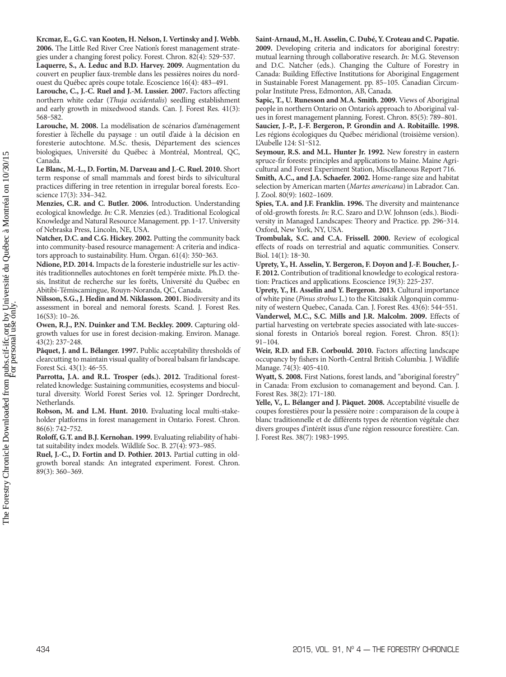**Krcmar, E., G.C. van Kooten, H. Nelson,I. Vertinsky and J. Webb. 2006.** The Little Red River Cree Nation's forest management strategies under a changing forest policy. Forest. Chron. 82(4): 529-537.

**Laquerre, S., A. Leduc and B.D. Harvey. 2009.** Augmentation du couvert en peuplier faux-tremble dans les pessières noires du nordouest du Québec après coupe totale. Ecoscience 16(4): 483–491.

**Larouche, C., J.-C. Ruel and J.-M. Lussier. 2007.** Factors affecting northern white cedar (*Thuja occidentalis*) seedling establishment and early growth in mixedwood stands. Can. J. Forest Res. 41(3): 568‒582.

**Larouche, M. 2008.** La modélisation de scénarios d'aménagement forestier à l'échelle du paysage : un outil d'aide à la décision en foresterie autochtone. M.Sc. thesis, Département des sciences biologiques, Université du Québec à Montréal, Montreal, QC, Canada.

**Le Blanc, M.-L., D. Fortin, M. Darveau and J.-C. Ruel. 2010.** Short term response of small mammals and forest birds to silvicultural practices differing in tree retention in irregular boreal forests. Ecoscience 17(3): 334–342.

**Menzies, C.R. and C. Butler. 2006.** Introduction. Understanding ecological knowledge. *In:* C.R. Menzies (ed.). Traditional Ecological Knowledge and Natural Resource Management. pp. 1-17. University of Nebraska Press, Lincoln, NE, USA.

**Natcher, D.C. and C.G. Hickey. 2002.** Putting the community back into community-based resource management: A criteria and indicators approach to sustainability. Hum. Organ. 61(4): 350-363.

**Ndione, P.D. 2014.** Impacts de la foresterie industrielle sur les activités traditionnelles autochtones en forêt tempérée mixte. Ph.D. thesis, Institut de recherche sur les forêts, Université du Québec en Abitibi-Témiscamingue, Rouyn-Noranda, QC, Canada.

**Nilsson, S.G.,J. Hedin and M. Niklasson. 2001.** Biodiversity and its assessment in boreal and nemoral forests. Scand. J. Forest Res. 16(S3): 10–26.

**Owen, R.J., P.N. Duinker and T.M. Beckley. 2009.** Capturing oldgrowth values for use in forest decision-making. Environ. Manage. 43(2): 237‒248.

**Pâquet, J. and L. Bélanger. 1997.** Public acceptability thresholds of clearcutting to maintain visual quality of boreal balsam firlandscape. Forest Sci. 43(1): 46-55.

**Parrotta, J.A. and R.L. Trosper (eds.). 2012.** Traditional forestrelated knowledge: Sustaining communities, ecosystems and biocultural diversity. World Forest Series vol. 12. Springer Dordrecht, Netherlands.

**Robson, M. and L.M. Hunt. 2010.** Evaluating local multi-stakeholder platforms in forest management in Ontario. Forest. Chron. 86(6): 742‒752.

**Roloff, G.T. and B.J. Kernohan. 1999.** Evaluating reliability of habitat suitability index models. Wildlife Soc. B. 27(4): 973–985.

**Ruel, J.-C., D. Fortin and D. Pothier. 2013.** Partial cutting in oldgrowth boreal stands: An integrated experiment. Forest. Chron. 89(3): 360–369.

**Saint-Arnaud, M., H. Asselin,C. Dubé,Y.Croteau andC. Papatie. 2009.** Developing criteria and indicators for aboriginal forestry: mutual learning through collaborative research. *In:* M.G. Stevenson and D.C. Natcher (eds.). Changing the Culture of Forestry in Canada: Building Effective Institutions for Aboriginal Engagement in Sustainable Forest Management. pp. 85–105. Canadian Circumpolar Institute Press, Edmonton, AB, Canada.

**Sapic, T., U. Runesson and M.A. Smith. 2009.** Views of Aboriginal people in northern Ontario on Ontario's approach to Aboriginal values in forest management planning. Forest. Chron. 85(5): 789–801. **Saucier, J.-P., J.-F. Bergeron, P. Grondin and A. Robitaille. 1998.** Les régions écologiques du Québec méridional (troisième version). L'Aubelle 124: S1‒S12.

**Seymour, R.S. and M.L. Hunter Jr. 1992.** New forestry in eastern spruce-fir forests: principles and applications to Maine. Maine Agricultural and Forest Experiment Station, Miscellaneous Report 716.

**Smith, A.C., and J.A. Schaefer. 2002.** Home-range size and habitat selection by American marten (*Martes americana*) in Labrador. Can. J. Zool. 80(9): 1602–1609.

**Spies, T.A. and J.F. Franklin. 1996.** The diversity and maintenance of old-growth forests. *In:* R.C. Szaro and D.W. Johnson (eds.). Biodiversity in Managed Landscapes: Theory and Practice. pp. 296-314. Oxford, New York, NY, USA.

**Trombulak, S.C. and C.A. Frissell. 2000.** Review of ecological effects of roads on terrestrial and aquatic communities. Conserv. Biol. 14(1): 18‒30.

**Uprety, Y., H. Asselin, Y. Bergeron, F. Doyon and J.-F. Boucher, J.- F. 2012.** Contribution of traditional knowledge to ecological restoration: Practices and applications. Ecoscience 19(3): 225-237.

**Uprety, Y., H. Asselin and Y. Bergeron. 2013.** Cultural importance of white pine (*Pinus strobus* L.) to the Kitcisakik Algonquin community of western Quebec, Canada. Can. J. Forest Res. 43(6): 544-551.

**Vanderwel, M.C., S.C. Mills and J.R. Malcolm. 2009.** Effects of partial harvesting on vertebrate species associated with late-successional forests in Ontario's boreal region. Forest. Chron. 85(1): 91–104.

**Weir, R.D. and F.B. Corbould. 2010.** Factors affecting landscape occupancy by fishers in North-Central British Columbia. J. Wildlife Manage. 74(3): 405-410.

**Wyatt, S. 2008.** First Nations, forest lands, and "aboriginal forestry" in Canada: From exclusion to comanagement and beyond. Can. J. Forest Res. 38(2): 171-180.

**Yelle, V., L. Bélanger and J. Pâquet. 2008.** Acceptabilité visuelle de coupes forestières pour la pessière noire : comparaison de la coupe à blanc traditionnelle et de différents types de rétention végétale chez divers groupes d'intérêt issus d'une région ressource forestière. Can. J. Forest Res. 38(7): 1983-1995.